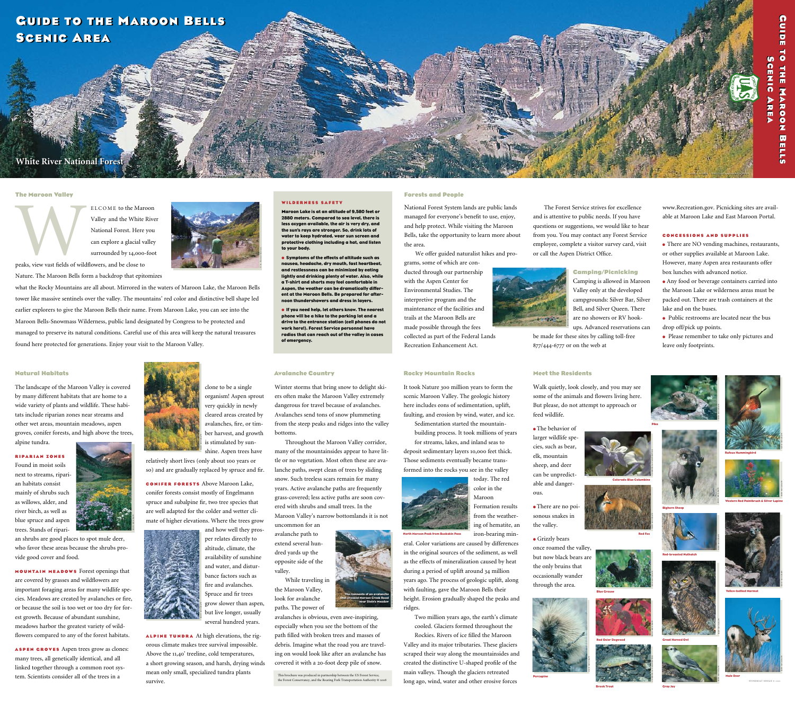#### **The Maroon Valley**

ELCOME to the Maroon<br>Valley and the White Rive<br>National Forest. Here you<br>can explore a glacial valley<br>surrounded by 14,000-foot<br>peaks, view vast fields of wildflowers, and be close to Valley and the White River National Forest. Here you can explore a glacial valley surrounded by 14,000-foot

peaks, view vast fields of wildflowers, and be close to

Nature. The Maroon Bells form a backdrop that epitomizes

# **GUIDE TO THE MAROON BELLS Sc e n i c Ar e a Sc e n i c Ar e a**

## **White River National Forest**

what the Rocky Mountains are all about. Mirrored in the waters of Maroon Lake, the Maroon Bells tower like massive sentinels over the valley. The mountains' red color and distinctive bell shape led earlier explorers to give the Maroon Bells their name. From Maroon Lake, you can see into the Maroon Bells-Snowmass Wilderness, public land designated by Congress to be protected and managed to preserve its natural conditions. Careful use of this area will keep the natural treasures found here protected for generations. Enjoy your visit to the Maroon Valley.

#### **Rocky Mountain Rocks**

It took Nature 300 million years to form the scenic Maroon Valley. The geologic history here includes eons of sedimentation, uplift, faulting, and erosion by wind, water, and ice.

Sedimentation started the mountainbuilding process. It took millions of years for streams, lakes, and inland seas to

deposit sedimentary layers 10,000 feet thick. Those sediments eventually became transformed into the rocks you see in the valley

today. The red color in the Maroon Formation results from the weathering of hematite, an

eral. Color variations are caused by differences in the original sources of the sediment, as well as the effects of mineralization caused by heat during a period of uplift around 34 million years ago. The process of geologic uplift, along with faulting, gave the Maroon Bells their height. Erosion gradually shaped the peaks and ridges.

Two million years ago, the earth's climate cooled. Glaciers formed throughout the

Rockies. Rivers of ice filled the Maroon Valley and its major tributaries. These glaciers scraped their way along the mountainsides and created the distinctive U-shaped profile of the main valleys. Though the glaciers retreated long ago, wind, water and other erosive forces

#### **Avalanche Country**

Winter storms that bring snow to delight skiers often make the Maroon Valley extremely dangerous for travel because of avalanches. Avalanches send tons of snow plummeting from the steep peaks and ridges into the valley bottoms.

Throughout the Maroon Valley corridor, many of the mountainsides appear to have little or no vegetation. Most often these are avalanche paths, swept clean of trees by sliding snow. Such treeless scars remain for many years. Active avalanche paths are frequently grass-covered; less active paths are soon covered with shrubs and small trees. In the Maroon Valley's narrow bottomlands it is not uncommon for an

avalanche path to extend several hundred yards up the opposite side of the valley.

While traveling in the Maroon Valley, look for avalanche paths. The power of

avalanches is obvious, even awe-inspiring, especially when you see the bottom of the path filled with broken trees and masses of debris. Imagine what the road you are traveling on would look like after an avalanche has covered it with a 20-foot deep pile of snow.

This brochure was produced in partnership between the US Forest Service, the Forest Conservancy, and the Roaring Fork Transportation Authority © 2008

#### **Natural Habitats**

The landscape of the Maroon Valley is covered by many different habitats that are home to a wide variety of plants and wildlife. These habitats include riparian zones near streams and other wet areas, mountain meadows, aspen groves, conifer forests, and high above the trees, alpine tundra.

## **R i par i an Z o n e s**

Found in moist soils next to streams, riparian habitats consist mainly of shrubs such as willows, alder, and river birch, as well as blue spruce and aspen trees. Stands of ripari-



an shrubs are good places to spot mule deer, who favor these areas because the shrubs provide good cover and food.

**Mou nta <sup>i</sup> n Me <sup>a</sup> dows** Forest openings that are covered by grasses and wildflowers are important foraging areas for many wildlife species. Meadows are created by avalanches or fire, or because the soil is too wet or too dry for forest growth. Because of abundant sunshine, meadows harbor the greatest variety of wildflowers compared to any of the forest habitats.

iron-bearing min-North Maroon Peak from Buckskin Pass

**Aspe n G <sup>r</sup> <sup>o</sup> <sup>v</sup> e s** Aspen trees grow as clones: many trees, all genetically identical, and all linked together through a common root system. Scientists consider all of the trees in a





STONEBOAT DESIGN © 2002

clone to be a single organism! Aspen sprout very quickly in newly cleared areas created by avalanches, fire, or timber harvest, and growth is stimulated by sun-

shine. Aspen trees have relatively short lives (only about 100 years or so) and are gradually replaced by spruce and fir.

**C o <sup>n</sup> ife <sup>r</sup> <sup>F</sup> <sup>o</sup> <sup>r</sup> e s <sup>t</sup> <sup>s</sup>** Above Maroon Lake, conifer forests consist mostly of Engelmann spruce and subalpine fir, two tree species that are well adapted for the colder and wetter climate of higher elevations. Where the trees grow





and how well they prosper relates directly to altitude, climate, the availability of sunshine and water, and disturbance factors such as

orous climate makes tree survival impossible. Above the 11,40' treeline, cold temperatures, a short growing season, and harsh, drying winds mean only small, specialized tundra plants survive.

## **Meet the Residents**

Walk quietly, look closely, and you may see some of the animals and flowers living here. But please, do not attempt to approach or feed wildlife.

**•** The behavior of larger wildlife species, such as bear, elk, mountain sheep, and deer can be unpredictable and danger-

ous.

**•** There are no poisonous snakes in the valley.

**•** Grizzly bears once roamed the valley, but now black bears are the only bruins that occasionally wander through the area.

The Forest Service strives for excellence and is attentive to public needs. If you have questions or suggestions, we would like to hear from you. You may contact any Forest Service employee, complete a visitor survey card, visit or call the Aspen District Office.



#### **Camping/Picnicking** Camping is allowed in Maroon

#### **Forests and People**

National Forest System lands are public lands managed for everyone's benefit to use, enjoy, and help protect. While visiting the Maroon Bells, take the opportunity to learn more about the area.

Valley only at the developed campgrounds: Silver Bar, Silver Bell, and Silver Queen. There KEN MCGRAW are no showers or RV hook-**CONTRACTOR** ups. Advanced reservations can be made for these sites by calling toll-free 877/444-6777 or on the web at Recreation Enhancement Act.

We offer guided naturalist hikes and pro-

grams, some of which are conducted through our partnership with the Aspen Center for Environmental Studies. The interpretive program and the maintenance of the facilities and trails at the Maroon Bells are made possible through the fees collected as part of the Federal Lands

fire and avalanches. Spruce and fir trees grow slower than aspen, but live longer, usually several hundred years. **Alpi <sup>n</sup> e Tu <sup>n</sup> <sup>d</sup> ra** At high elevations, the rig-KEN MCGRAW





The remnants of an avalanche that crossed Maroon Creek Road near Stein's Meadow The remnants of an avalanche that crossed Maroon Creek Road

Gray Jay

Mule Deer





Great Horned Owl

Red-breasted Nuthatch

Brook Trout

Western Red Paintbrush & Silver Lupine

#### **W ilde rn ess Sa f e t y**

**M**aroon Lake is at an altitude of 9,580 feet or 2880 meters. Compared to sea level, there is less oxygen available, the air is very dry, and the sun's rays are stronger. So, drink lots of water to keep hydrated, wear sun screen and protective clothing including a hat, and listen to your body.

• Symptoms of the effects of altitude such as nausea, headache, dry mouth, fast heartbeat, and restlessness can be minimized by eating lightly and drinking plenty of water. Also, while a T-shirt and shorts may feel comfortable in Aspen, the weather can be dramatically different at the Maroon Bells. Be prepared for afternoon thundershowers and dress in layers.





Colorado Blue Columbine



Red Osier Dogwood CORNELIA CARPENTER



• If you need help, let others know. The nearest phone will be a hike to the parking lot and a drive to the entrance station (cell phones do not work here!). Forest Service personnel have radios that can reach out of the valley in cases of emergency.



www.Recreation.gov. Picnicking sites are available at Maroon Lake and East Maroon Portal.

### **C o nc essio n s an d S upplies**

• There are NO vending machines, restaurants, or other supplies available at Maroon Lake. However, many Aspen area restaurants offer box lunches with advanced notice.

• Any food or beverage containers carried into the Maroon Lake or wilderness areas must be packed out. There are trash containers at the lake and on the buses.

• Public restrooms are located near the bus drop off/pick up points.

• Please remember to take only pictures and leave only footprints.

KEN MCGRAW

KEN MCGRAW



CORNELIA CARPENTER





KEN MCGRAW KEN MCGRAW